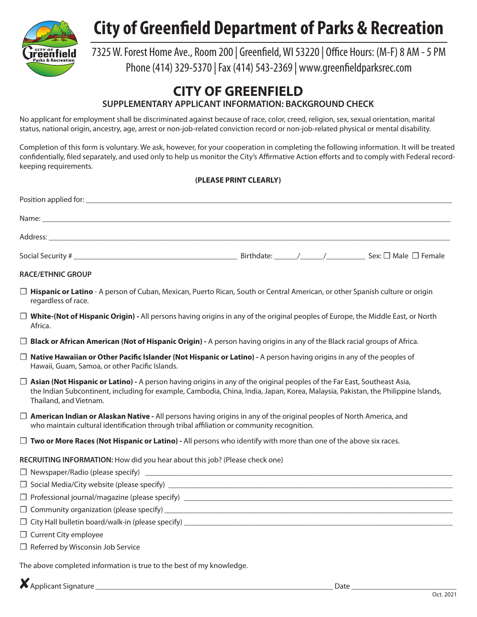

## **City of Greenfield Department of Parks & Recreation**

### 7325 W. Forest Home Ave., Room 200 | Greenfield, WI 53220 | Office Hours: (M-F) 8 AM - 5 PM Phone (414) 329-5370 | Fax (414) 543-2369 | www.greenfieldparksrec.com

### **CITY OF GREENFIELD**

**SUPPLEMENTARY APPLICANT INFORMATION: BACKGROUND CHECK**

No applicant for employment shall be discriminated against because of race, color, creed, religion, sex, sexual orientation, marital status, national origin, ancestry, age, arrest or non-job-related conviction record or non-job-related physical or mental disability.

Completion of this form is voluntary. We ask, however, for your cooperation in completing the following information. It will be treated confidentially, filed separately, and used only to help us monitor the City's Affirmative Action efforts and to comply with Federal recordkeeping requirements.

#### **(PLEASE PRINT CLEARLY)**

| Position applied for: |                                                        |
|-----------------------|--------------------------------------------------------|
|                       |                                                        |
| Address:              |                                                        |
| Social Security #     | Sex: $\square$ Male $\square$ Female<br>Birthdate: / / |

#### **RACE/ETHNIC GROUP**

- □ Hispanic or Latino A person of Cuban, Mexican, Puerto Rican, South or Central American, or other Spanish culture or origin regardless of race.
- ☐ **White-(Not of Hispanic Origin)** All persons having origins in any of the original peoples of Europe, the Middle East, or North Africa.
- □ **Black or African American (Not of Hispanic Origin)** A person having origins in any of the Black racial groups of Africa.
- ☐ **Native Hawaiian or Other Pacific Islander (Not Hispanic or Latino)** A person having origins in any of the peoples of Hawaii, Guam, Samoa, or other Pacific Islands.
- □ **Asian (Not Hispanic or Latino)** A person having origins in any of the original peoples of the Far East, Southeast Asia, the Indian Subcontinent, including for example, Cambodia, China, India, Japan, Korea, Malaysia, Pakistan, the Philippine Islands, Thailand, and Vietnam.
- ☐ **American Indian or Alaskan Native** All persons having origins in any of the original peoples of North America, and who maintain cultural identification through tribal affiliation or community recognition.
- □ **Two or More Races (Not Hispanic or Latino)** All persons who identify with more than one of the above six races.

**RECRUITING INFORMATION:** How did you hear about this job? (Please check one)

| J Newspaper/Radio (please specify)           |  |
|----------------------------------------------|--|
| J Social Media/City website (please specify) |  |

- ☐ Professional journal/magazine (please specify) \_\_\_\_\_\_\_\_\_\_\_\_\_\_\_\_\_\_\_\_\_\_\_\_\_\_\_\_\_\_\_\_\_\_\_\_\_\_\_\_\_\_\_\_\_\_\_\_\_\_\_\_\_\_\_\_\_\_\_\_\_\_\_\_\_\_\_\_\_
- $\Box$  Community organization (please specify)  $\Box$
- $\Box$  City Hall bulletin board/walk-in (please specify)  $\Box$
- □ Current City employee
- ☐ Referred by Wisconsin Job Service

The above completed information is true to the best of my knowledge.